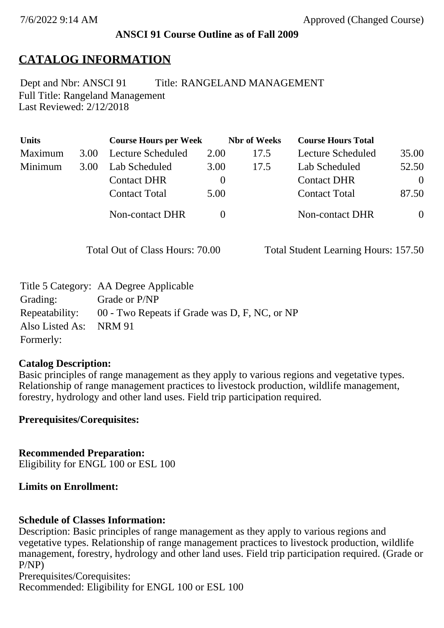### **ANSCI 91 Course Outline as of Fall 2009**

## **CATALOG INFORMATION**

Full Title: Rangeland Management Last Reviewed: 2/12/2018 Dept and Nbr: ANSCI 91 Title: RANGELAND MANAGEMENT

| <b>Units</b> |      | <b>Course Hours per Week</b> |          | <b>Nbr</b> of Weeks | <b>Course Hours Total</b> |          |
|--------------|------|------------------------------|----------|---------------------|---------------------------|----------|
| Maximum      | 3.00 | Lecture Scheduled            | 2.00     | 17.5                | Lecture Scheduled         | 35.00    |
| Minimum      | 3.00 | Lab Scheduled                | 3.00     | 17.5                | Lab Scheduled             | 52.50    |
|              |      | <b>Contact DHR</b>           | $\theta$ |                     | <b>Contact DHR</b>        | $\Omega$ |
|              |      | <b>Contact Total</b>         | 5.00     |                     | <b>Contact Total</b>      | 87.50    |
|              |      | Non-contact DHR              |          |                     | <b>Non-contact DHR</b>    | $\theta$ |

Total Out of Class Hours: 70.00 Total Student Learning Hours: 157.50

|                        | Title 5 Category: AA Degree Applicable                       |
|------------------------|--------------------------------------------------------------|
| Grading:               | Grade or P/NP                                                |
|                        | Repeatability: 00 - Two Repeats if Grade was D, F, NC, or NP |
| Also Listed As: NRM 91 |                                                              |
| Formerly:              |                                                              |

### **Catalog Description:**

Basic principles of range management as they apply to various regions and vegetative types. Relationship of range management practices to livestock production, wildlife management, forestry, hydrology and other land uses. Field trip participation required.

**Prerequisites/Corequisites:**

**Recommended Preparation:** Eligibility for ENGL 100 or ESL 100

### **Limits on Enrollment:**

### **Schedule of Classes Information:**

Description: Basic principles of range management as they apply to various regions and vegetative types. Relationship of range management practices to livestock production, wildlife management, forestry, hydrology and other land uses. Field trip participation required. (Grade or P/NP)

Prerequisites/Corequisites: Recommended: Eligibility for ENGL 100 or ESL 100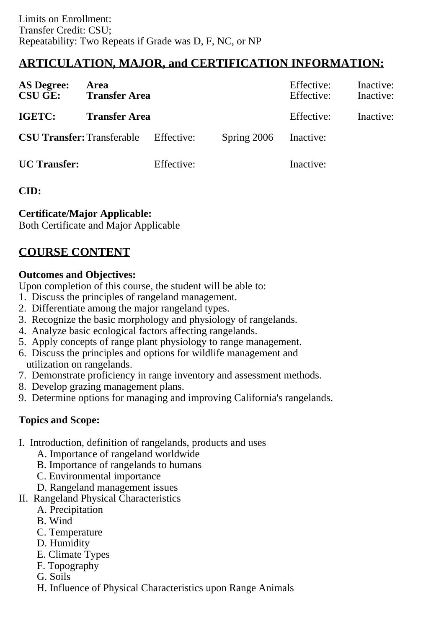# **ARTICULATION, MAJOR, and CERTIFICATION INFORMATION:**

| <b>AS Degree:</b><br><b>CSU GE:</b> | Area<br><b>Transfer Area</b>                 |            |               | Effective:<br>Effective: | Inactive:<br>Inactive: |
|-------------------------------------|----------------------------------------------|------------|---------------|--------------------------|------------------------|
| IGETC:                              | <b>Transfer Area</b>                         |            |               | Effective:               | Inactive:              |
|                                     | <b>CSU Transfer:</b> Transferable Effective: |            | Spring $2006$ | Inactive:                |                        |
| <b>UC</b> Transfer:                 |                                              | Effective: |               | Inactive:                |                        |

### **CID:**

### **Certificate/Major Applicable:**

[Both Certificate and Major Applicable](SR_ClassCheck.aspx?CourseKey=ANSCI91)

# **COURSE CONTENT**

### **Outcomes and Objectives:**

Upon completion of this course, the student will be able to:

- 1. Discuss the principles of rangeland management.
- 2. Differentiate among the major rangeland types.
- 3. Recognize the basic morphology and physiology of rangelands.
- 4. Analyze basic ecological factors affecting rangelands.
- 5. Apply concepts of range plant physiology to range management.
- 6. Discuss the principles and options for wildlife management and utilization on rangelands.
- 7. Demonstrate proficiency in range inventory and assessment methods.
- 8. Develop grazing management plans.
- 9. Determine options for managing and improving California's rangelands.

## **Topics and Scope:**

- I. Introduction, definition of rangelands, products and uses
	- A. Importance of rangeland worldwide
	- B. Importance of rangelands to humans
	- C. Environmental importance
	- D. Rangeland management issues
- II. Rangeland Physical Characteristics
	- A. Precipitation
	- B. Wind
	- C. Temperature
	- D. Humidity
	- E. Climate Types
	- F. Topography
	- G. Soils
	- H. Influence of Physical Characteristics upon Range Animals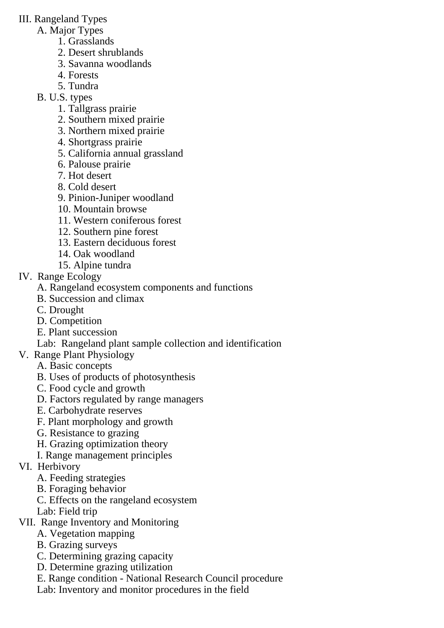### III. Rangeland Types

- A. Major Types
	- 1. Grasslands
	- 2. Desert shrublands
	- 3. Savanna woodlands
	- 4. Forests
	- 5. Tundra
- B. U.S. types
	- 1. Tallgrass prairie
	- 2. Southern mixed prairie
	- 3. Northern mixed prairie
	- 4. Shortgrass prairie
	- 5. California annual grassland
	- 6. Palouse prairie
	- 7. Hot desert
	- 8. Cold desert
	- 9. Pinion-Juniper woodland
	- 10. Mountain browse
	- 11. Western coniferous forest
	- 12. Southern pine forest
	- 13. Eastern deciduous forest
	- 14. Oak woodland
	- 15. Alpine tundra
- IV. Range Ecology
	- A. Rangeland ecosystem components and functions
	- B. Succession and climax
	- C. Drought
	- D. Competition
	- E. Plant succession
	- Lab: Rangeland plant sample collection and identification
- V. Range Plant Physiology
	- A. Basic concepts
	- B. Uses of products of photosynthesis
	- C. Food cycle and growth
	- D. Factors regulated by range managers
	- E. Carbohydrate reserves
	- F. Plant morphology and growth
	- G. Resistance to grazing
	- H. Grazing optimization theory
	- I. Range management principles
- VI. Herbivory
	- A. Feeding strategies
	- B. Foraging behavior
	- C. Effects on the rangeland ecosystem
	- Lab: Field trip
- VII. Range Inventory and Monitoring
	- A. Vegetation mapping
	- B. Grazing surveys
	- C. Determining grazing capacity
	- D. Determine grazing utilization
	- E. Range condition National Research Council procedure
	- Lab: Inventory and monitor procedures in the field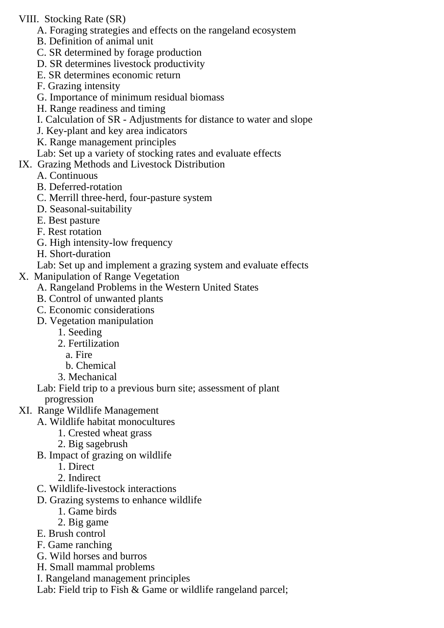### VIII. Stocking Rate (SR)

- A. Foraging strategies and effects on the rangeland ecosystem
- B. Definition of animal unit
- C. SR determined by forage production
- D. SR determines livestock productivity
- E. SR determines economic return
- F. Grazing intensity
- G. Importance of minimum residual biomass
- H. Range readiness and timing
- I. Calculation of SR Adjustments for distance to water and slope
- J. Key-plant and key area indicators
- K. Range management principles
- Lab: Set up a variety of stocking rates and evaluate effects

### IX. Grazing Methods and Livestock Distribution

- A. Continuous
- B. Deferred-rotation
- C. Merrill three-herd, four-pasture system
- D. Seasonal-suitability
- E. Best pasture
- F. Rest rotation
- G. High intensity-low frequency
- H. Short-duration

Lab: Set up and implement a grazing system and evaluate effects

- X. Manipulation of Range Vegetation
	- A. Rangeland Problems in the Western United States
	- B. Control of unwanted plants
	- C. Economic considerations
	- D. Vegetation manipulation
		- 1. Seeding
		- 2. Fertilization
			- a. Fire
		- b. Chemical
		- 3. Mechanical

Lab: Field trip to a previous burn site; assessment of plant

progression

- XI. Range Wildlife Management
	- A. Wildlife habitat monocultures
		- 1. Crested wheat grass
		- 2. Big sagebrush
	- B. Impact of grazing on wildlife
		- 1. Direct
		- 2. Indirect
	- C. Wildlife-livestock interactions
	- D. Grazing systems to enhance wildlife
		- 1. Game birds
		- 2. Big game
	- E. Brush control
	- F. Game ranching
	- G. Wild horses and burros
	- H. Small mammal problems
	- I. Rangeland management principles

Lab: Field trip to Fish & Game or wildlife rangeland parcel;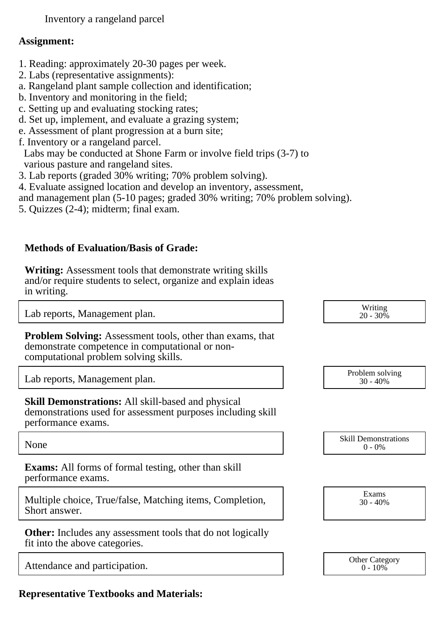Inventory a rangeland parcel

#### **Assignment:**

- 1. Reading: approximately 20-30 pages per week.
- 2. Labs (representative assignments):
- a. Rangeland plant sample collection and identification;
- b. Inventory and monitoring in the field;
- c. Setting up and evaluating stocking rates;
- d. Set up, implement, and evaluate a grazing system;
- e. Assessment of plant progression at a burn site;
- f. Inventory or a rangeland parcel.

 Labs may be conducted at Shone Farm or involve field trips (3-7) to various pasture and rangeland sites.

- 3. Lab reports (graded 30% writing; 70% problem solving).
- 4. Evaluate assigned location and develop an inventory, assessment,
- and management plan (5-10 pages; graded 30% writing; 70% problem solving).
- 5. Quizzes (2-4); midterm; final exam.

### **Methods of Evaluation/Basis of Grade:**

**Writing:** Assessment tools that demonstrate writing skills and/or require students to select, organize and explain ideas in writing.

Lab reports, Management plan. Notice that the set of the set of the set of the set of the set of the set of the set of the set of the set of the set of the set of the set of the set of the set of the set of the set of the

**Problem Solving:** Assessment tools, other than exams, that demonstrate competence in computational or noncomputational problem solving skills.

Lab reports, Management plan.

| <b>Skill Demonstrations:</b> All skill-based and physical   |
|-------------------------------------------------------------|
| demonstrations used for assessment purposes including skill |
| performance exams.                                          |

**Exams:** All forms of formal testing, other than skill performance exams.

Multiple choice, True/false, Matching items, Completion, Short answer.

**Other:** Includes any assessment tools that do not logically fit into the above categories.

Attendance and participation. 
<br>
Other Category  $\begin{array}{c} \text{Other category} \\ \text{0-10\%} \end{array}$ 

**Representative Textbooks and Materials:**

| Problem solving<br>$30 - 40%$ |  |
|-------------------------------|--|
|                               |  |

20 - 30%

None Skill Demonstrations<br>  $\begin{array}{c} \text{Skill,} \\ 0 \text{ - } 0\% \end{array}$  $0 - 0\%$ 

> Exams 30 - 40%

 $0 - 10\%$